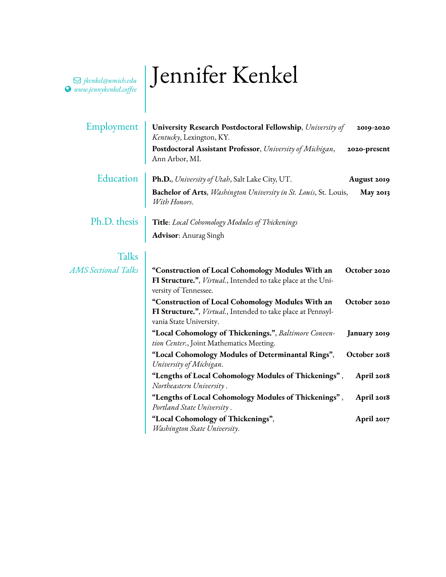## **www.jennykenkel.coffee | Jennifer Kenkel**

Q *[jkenkel@umich.edu](mailto:jkenkel@umich.edu )*

| Employment                 | University Research Postdoctoral Fellowship, University of<br>Kentucky, Lexington, KY.                                                       | 2019-2020       |
|----------------------------|----------------------------------------------------------------------------------------------------------------------------------------------|-----------------|
|                            | Postdoctoral Assistant Professor, University of Michigan,<br>Ann Arbor, MI.                                                                  | 2020-present    |
| Education                  | Ph.D., University of Utah, Salt Lake City, UT.                                                                                               | August 2019     |
|                            | <b>Bachelor of Arts</b> , <i>Washington University in St. Louis</i> , St. Louis,<br>With Honors.                                             | <b>May 2013</b> |
| Ph.D. thesis               | <b>Title</b> : Local Cohomology Modules of Thickenings                                                                                       |                 |
|                            | <b>Advisor:</b> Anurag Singh                                                                                                                 |                 |
| Talks                      |                                                                                                                                              |                 |
| <b>AMS</b> Sectional Talks | "Construction of Local Cohomology Modules With an<br>FI Structure.", Virtual., Intended to take place at the Uni-<br>versity of Tennessee.   | October 2020    |
|                            | "Construction of Local Cohomology Modules With an<br>FI Structure.", Virtual., Intended to take place at Pennsyl-<br>vania State University. | October 2020    |
|                            | "Local Cohomology of Thickenings.", Baltimore Conven-<br>tion Center., Joint Mathematics Meeting.                                            | January 2019    |
|                            | "Local Cohomology Modules of Determinantal Rings",<br>University of Michigan.                                                                | October 2018    |
|                            | "Lengths of Local Cohomology Modules of Thickenings",<br>Northeastern University.                                                            | April 2018      |
|                            | "Lengths of Local Cohomology Modules of Thickenings",<br>Portland State University.                                                          | April 2018      |
|                            | "Local Cohomology of Thickenings",<br>Washington State University.                                                                           | April 2017      |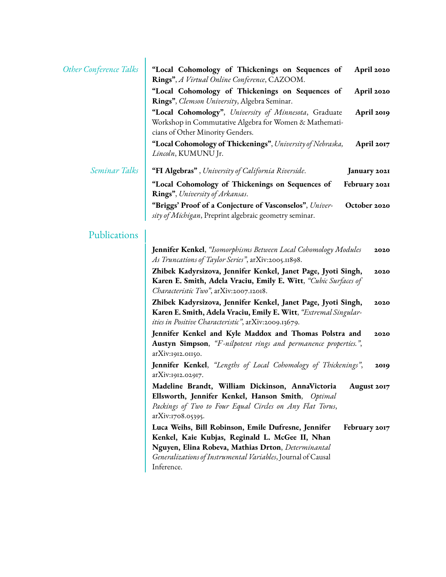| <b>Other Conference Talks</b> | "Local Cohomology of Thickenings on Sequences of<br>April 2020<br>Rings", A Virtual Online Conference, CAZOOM.                                                                                                                                              |
|-------------------------------|-------------------------------------------------------------------------------------------------------------------------------------------------------------------------------------------------------------------------------------------------------------|
|                               | "Local Cohomology of Thickenings on Sequences of<br>April 2020<br>Rings", Clemson University, Algebra Seminar.                                                                                                                                              |
|                               | "Local Cohomology", University of Minnesota, Graduate<br>April 2019<br>Workshop in Commutative Algebra for Women & Mathemati-<br>cians of Other Minority Genders.                                                                                           |
|                               | "Local Cohomology of Thickenings", University of Nebraska,<br>April 2017<br>Lincoln, KUMUNU Jr.                                                                                                                                                             |
| Seminar Talks                 | "FI Algebras", University of California Riverside.<br>January 2021                                                                                                                                                                                          |
|                               | "Local Cohomology of Thickenings on Sequences of<br>February 2021<br>Rings", University of Arkansas.                                                                                                                                                        |
|                               | "Briggs' Proof of a Conjecture of Vasconselos", Univer-<br>October 2020<br>sity of Michigan, Preprint algebraic geometry seminar.                                                                                                                           |
| Publications                  |                                                                                                                                                                                                                                                             |
|                               | <b>Jennifer Kenkel</b> , "Isomorphisms Between Local Cohomology Modules<br>2020<br>As Truncations of Taylor Series", arXiv:2005.11898.                                                                                                                      |
|                               | Zhibek Kadyrsizova, Jennifer Kenkel, Janet Page, Jyoti Singh,<br>2020<br>Karen E. Smith, Adela Vraciu, Emily E. Witt, "Cubic Surfaces of<br>Characteristic Two", arXiv:2007.12018.                                                                          |
|                               | Zhibek Kadyrsizova, Jennifer Kenkel, Janet Page, Jyoti Singh,<br>2020<br>Karen E. Smith, Adela Vraciu, Emily E. Witt, "Extremal Singular-<br>ities in Positive Characteristic", arXiv:2009.13679.                                                           |
|                               | Jennifer Kenkel and Kyle Maddox and Thomas Polstra and<br>2020<br>Austyn Simpson, "F-nilpotent rings and permanence properties.",<br>arXiv:1912.01150.                                                                                                      |
|                               | <b>Jennifer Kenkel</b> , "Lengths of Local Cohomology of Thickenings",<br>2019<br>arXiv:1912.02917.                                                                                                                                                         |
|                               | Madeline Brandt, William Dickinson, AnnaVictoria<br>August 2017<br>Ellsworth, Jennifer Kenkel, Hanson Smith, Optimal<br>Packings of Two to Four Equal Circles on Any Flat Torus,<br>arXiv:1708.05395.                                                       |
|                               | Luca Weihs, Bill Robinson, Emile Dufresne, Jennifer<br>February 2017<br>Kenkel, Kaie Kubjas, Reginald L. McGee II, Nhan<br>Nguyen, Elina Robeva, Mathias Drton, Determinantal<br>Generalizations of Instrumental Variables, Journal of Causal<br>Inference. |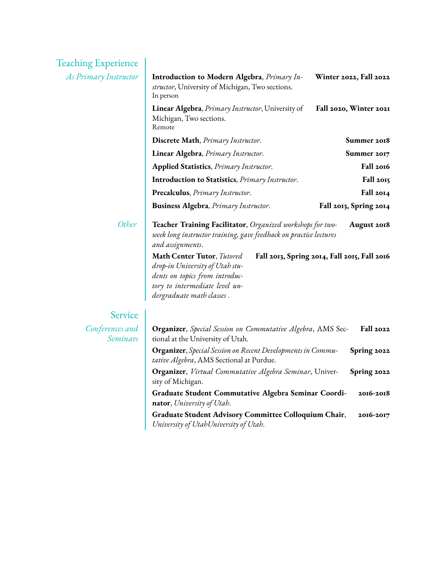| <b>Teaching Experience</b>  |                                                                                                                                                                                                                                                                                                                       |                                                             |
|-----------------------------|-----------------------------------------------------------------------------------------------------------------------------------------------------------------------------------------------------------------------------------------------------------------------------------------------------------------------|-------------------------------------------------------------|
| As Primary Instructor       | <b>Introduction to Modern Algebra, Primary In-</b><br>structor, University of Michigan, Two sections.<br>In person                                                                                                                                                                                                    | Winter 2022, Fall 2022                                      |
|                             | Linear Algebra, <i>Primary Instructor</i> , University of<br>Michigan, Two sections.<br>Remote                                                                                                                                                                                                                        | Fall 2020, Winter 2021                                      |
|                             | Discrete Math, Primary Instructor.                                                                                                                                                                                                                                                                                    | Summer 2018                                                 |
|                             | Linear Algebra, Primary Instructor.                                                                                                                                                                                                                                                                                   | Summer 2017                                                 |
|                             | <b>Applied Statistics</b> , <i>Primary Instructor</i> .                                                                                                                                                                                                                                                               | Fall 2016                                                   |
|                             | <b>Introduction to Statistics</b> , <i>Primary Instructor</i> .                                                                                                                                                                                                                                                       | Fall 2015                                                   |
|                             | Precalculus, Primary Instructor.                                                                                                                                                                                                                                                                                      | Fall 2014                                                   |
|                             | <b>Business Algebra</b> , Primary Instructor.                                                                                                                                                                                                                                                                         | Fall 2013, Spring 2014                                      |
| Other                       | Teacher Training Facilitator, Organized workshops for two-<br>week long instructor training, gave feedback on practice lectures<br>and assignments.<br>Math Center Tutor, Tutored<br>drop-in University of Utah stu-<br>dents on topics from introduc-<br>tory to intermediate level un-<br>dergraduate math classes. | August 2018<br>Fall 2013, Spring 2014, Fall 2015, Fall 2016 |
| Service                     |                                                                                                                                                                                                                                                                                                                       |                                                             |
| Conferences and<br>Seminars | Organizer, Special Session on Commutative Algebra, AMS Sec-<br>tional at the University of Utah.                                                                                                                                                                                                                      | <b>Fall 2022</b>                                            |
|                             | <b>Organizer</b> , Special Session on Recent Developments in Commu-<br>tative Algebra, AMS Sectional at Purdue.                                                                                                                                                                                                       | Spring 2022                                                 |
|                             | Organizer, Virtual Commutative Algebra Seminar, Univer-<br>sity of Michigan.                                                                                                                                                                                                                                          | Spring 2022                                                 |
|                             | Graduate Student Commutative Algebra Seminar Coordi-<br>nator, University of Utah.                                                                                                                                                                                                                                    | 2016-2018                                                   |
|                             | Graduate Student Advisory Committee Colloquium Chair,<br>University of UtahUniversity of Utah.                                                                                                                                                                                                                        | 2016-2017                                                   |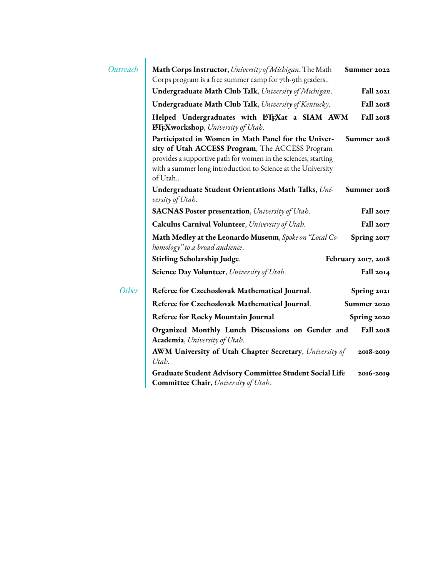| Outreach | Math Corps Instructor, University of Michigan, The Math<br>Summer 2022<br>Corps program is a free summer camp for 7th-9th graders                                                                                                                                  |  |  |
|----------|--------------------------------------------------------------------------------------------------------------------------------------------------------------------------------------------------------------------------------------------------------------------|--|--|
|          | Undergraduate Math Club Talk, University of Michigan.<br>Fall 2021                                                                                                                                                                                                 |  |  |
|          | Fall 2018<br>Undergraduate Math Club Talk, University of Kentucky.                                                                                                                                                                                                 |  |  |
|          | Fall 2018<br>Helped Undergraduates with L'FEXat a SIAM AWM<br><b>IfTEXworkshop</b> , University of Utah.                                                                                                                                                           |  |  |
|          | Participated in Women in Math Panel for the Univer-<br>Summer 2018<br>sity of Utah ACCESS Program, The ACCESS Program<br>provides a supportive path for women in the sciences, starting<br>with a summer long introduction to Science at the University<br>of Utah |  |  |
|          | Undergraduate Student Orientations Math Talks, Uni-<br>Summer 2018<br>versity of Utah.                                                                                                                                                                             |  |  |
|          | <b>SACNAS Poster presentation</b> , University of Utah.<br>Fall 2017                                                                                                                                                                                               |  |  |
|          | Calculus Carnival Volunteer, University of Utah.<br>Fall 2017                                                                                                                                                                                                      |  |  |
|          | Math Medley at the Leonardo Museum, Spoke on "Local Co-<br>Spring 2017<br>homology" to a broad audience.                                                                                                                                                           |  |  |
|          | Stirling Scholarship Judge.<br>February 2017, 2018                                                                                                                                                                                                                 |  |  |
|          | Science Day Volunteer, University of Utah.<br>Fall 2014                                                                                                                                                                                                            |  |  |
| Other    | Referee for Czechoslovak Mathematical Journal.<br>Spring 2021                                                                                                                                                                                                      |  |  |
|          | Referee for Czechoslovak Mathematical Journal.<br>Summer 2020                                                                                                                                                                                                      |  |  |
|          | Referee for Rocky Mountain Journal.<br>Spring 2020                                                                                                                                                                                                                 |  |  |
|          | Fall 2018<br>Organized Monthly Lunch Discussions on Gender and<br><b>Academia</b> , University of Utah.                                                                                                                                                            |  |  |
|          | <b>AWM University of Utah Chapter Secretary</b> , University of<br>2018-2019<br>Utah.                                                                                                                                                                              |  |  |
|          | <b>Graduate Student Advisory Committee Student Social Life</b><br>2016-2019<br>Committee Chair, University of Utah.                                                                                                                                                |  |  |